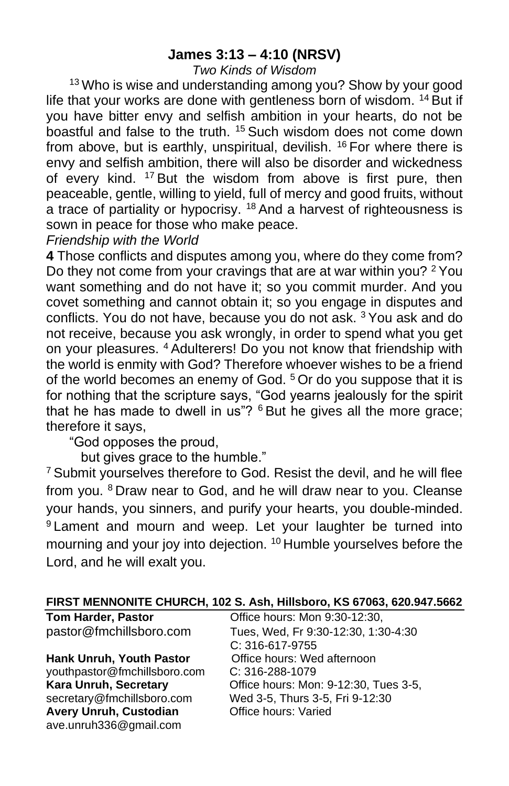## **James 3:13 – 4:10 (NRSV)**

#### *Two Kinds of Wisdom*

<sup>13</sup> Who is wise and understanding among you? Show by your good life that your works are done with gentleness born of wisdom. <sup>14</sup> But if you have bitter envy and selfish ambition in your hearts, do not be boastful and false to the truth. <sup>15</sup> Such wisdom does not come down from above, but is earthly, unspiritual, devilish. <sup>16</sup> For where there is envy and selfish ambition, there will also be disorder and wickedness of every kind. <sup>17</sup> But the wisdom from above is first pure, then peaceable, gentle, willing to yield, full of mercy and good fruits, without a trace of partiality or hypocrisy. <sup>18</sup> And a harvest of righteousness is sown in peace for those who make peace.

*Friendship with the World*

**4** Those conflicts and disputes among you, where do they come from? Do they not come from your cravings that are at war within you? <sup>2</sup> You want something and do not have it; so you commit murder. And you covet something and cannot obtain it; so you engage in disputes and conflicts. You do not have, because you do not ask. <sup>3</sup> You ask and do not receive, because you ask wrongly, in order to spend what you get on your pleasures. <sup>4</sup> Adulterers! Do you not know that friendship with the world is enmity with God? Therefore whoever wishes to be a friend of the world becomes an enemy of God.<sup>5</sup> Or do you suppose that it is for nothing that the scripture says, "God yearns jealously for the spirit that he has made to dwell in us"?  $6$  But he gives all the more grace; therefore it says,

"God opposes the proud,

but gives grace to the humble."

**Avery Unruh, Custodian Office hours: Varied** 

ave.unruh336@gmail.com

<sup>7</sup> Submit yourselves therefore to God. Resist the devil, and he will flee from you. <sup>8</sup> Draw near to God, and he will draw near to you. Cleanse your hands, you sinners, and purify your hearts, you double-minded. 9 Lament and mourn and weep. Let your laughter be turned into mourning and your joy into dejection. <sup>10</sup> Humble yourselves before the Lord, and he will exalt you.

| <b>FIND I MENNUNITE CHUNCH, TUZ J. ASII, HIIISDUIU, NJ 0700J, 020.347.J00Z</b> |                                       |  |
|--------------------------------------------------------------------------------|---------------------------------------|--|
| <b>Tom Harder, Pastor</b>                                                      | Office hours: Mon 9:30-12:30,         |  |
| pastor@fmchillsboro.com                                                        | Tues, Wed, Fr 9:30-12:30, 1:30-4:30   |  |
|                                                                                | C: 316-617-9755                       |  |
| <b>Hank Unruh, Youth Pastor</b>                                                | Office hours: Wed afternoon           |  |
| youthpastor@fmchillsboro.com                                                   | $C: 316 - 288 - 1079$                 |  |
| <b>Kara Unruh, Secretary</b>                                                   | Office hours: Mon: 9-12:30, Tues 3-5, |  |
| secretary@fmchillsboro.com                                                     | Wed 3-5, Thurs 3-5, Fri 9-12:30       |  |

# **FIRST MENNONITE CHURCH, 102 S. Ash, Hillsboro, KS 67063, 620.947.5662**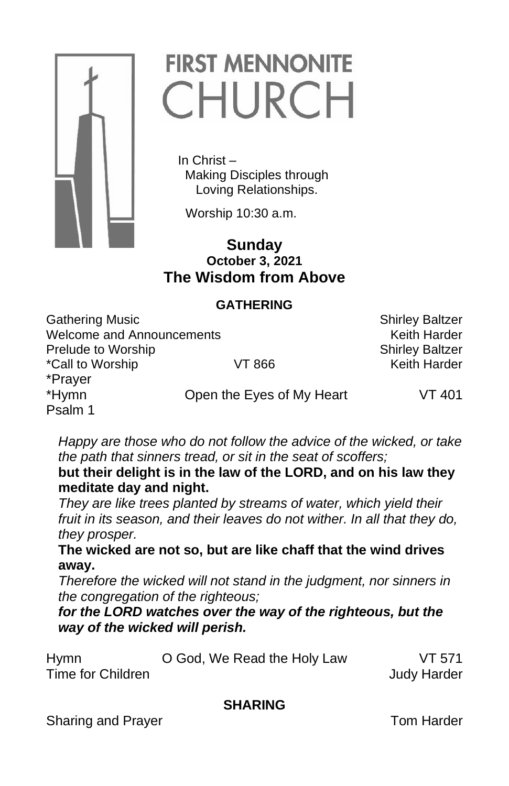

# **FIRST MENNONITE** CHURCH

 In Christ – Making Disciples through Loving Relationships.

Worship 10:30 a.m.

# **Sunday October 3, 2021 The Wisdom from Above**

#### **GATHERING**

Gathering Music **Shirley Baltzer** Shirley Baltzer Welcome and Announcements Melton and Announcements Keith Harder **Prelude to Worship Shirley Baltzer** Shirley Baltzer \*Call to Worship VT 866 Keith Harder \*Prayer \*Hymn Open the Eyes of My Heart VT 401 Psalm 1

*Happy are those who do not follow the advice of the wicked, or take the path that sinners tread, or sit in the seat of scoffers;*

**but their delight is in the law of the LORD, and on his law they meditate day and night.**

*They are like trees planted by streams of water, which yield their fruit in its season, and their leaves do not wither. In all that they do, they prosper.*

**The wicked are not so, but are like chaff that the wind drives away.**

*Therefore the wicked will not stand in the judgment, nor sinners in the congregation of the righteous;*

*for the LORD watches over the way of the righteous, but the way of the wicked will perish.*

| <b>Hymn</b>       | O God, We Read the Holy Law | VT 571             |
|-------------------|-----------------------------|--------------------|
| Time for Children |                             | <b>Judy Harder</b> |

# **SHARING**

Sharing and Prayer Tom Harder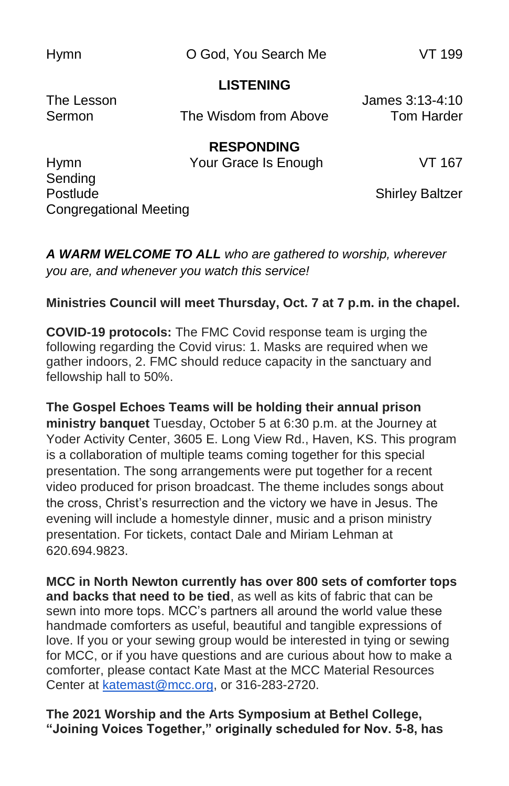Hymn O God, You Search Me VT 199

#### **LISTENING**

The Lesson James 3:13-4:10 Sermon The Wisdom from Above Tom Harder

**RESPONDING**

Hymn Your Grace Is Enough VT 167 Sending Postlude **Shirley Baltzer** Congregational Meeting

*A WARM WELCOME TO ALL who are gathered to worship, wherever you are, and whenever you watch this service!*

#### **Ministries Council will meet Thursday, Oct. 7 at 7 p.m. in the chapel.**

**COVID-19 protocols:** The FMC Covid response team is urging the following regarding the Covid virus: 1. Masks are required when we gather indoors, 2. FMC should reduce capacity in the sanctuary and fellowship hall to 50%.

**The Gospel Echoes Teams will be holding their annual prison ministry banquet** Tuesday, October 5 at 6:30 p.m. at the Journey at Yoder Activity Center, 3605 E. Long View Rd., Haven, KS. This program is a collaboration of multiple teams coming together for this special presentation. The song arrangements were put together for a recent video produced for prison broadcast. The theme includes songs about the cross, Christ's resurrection and the victory we have in Jesus. The evening will include a homestyle dinner, music and a prison ministry presentation. For tickets, contact Dale and Miriam Lehman at 620.694.9823.

**MCC in North Newton currently has over 800 sets of comforter tops and backs that need to be tied**, as well as kits of fabric that can be sewn into more tops. MCC's partners all around the world value these handmade comforters as useful, beautiful and tangible expressions of love. If you or your sewing group would be interested in tying or sewing for MCC, or if you have questions and are curious about how to make a comforter, please contact Kate Mast at the MCC Material Resources Center at [katemast@mcc.org,](mailto:katemast@mcc.org) or 316-283-2720.

**The 2021 Worship and the Arts Symposium at Bethel College, "Joining Voices Together," originally scheduled for Nov. 5-8, has**